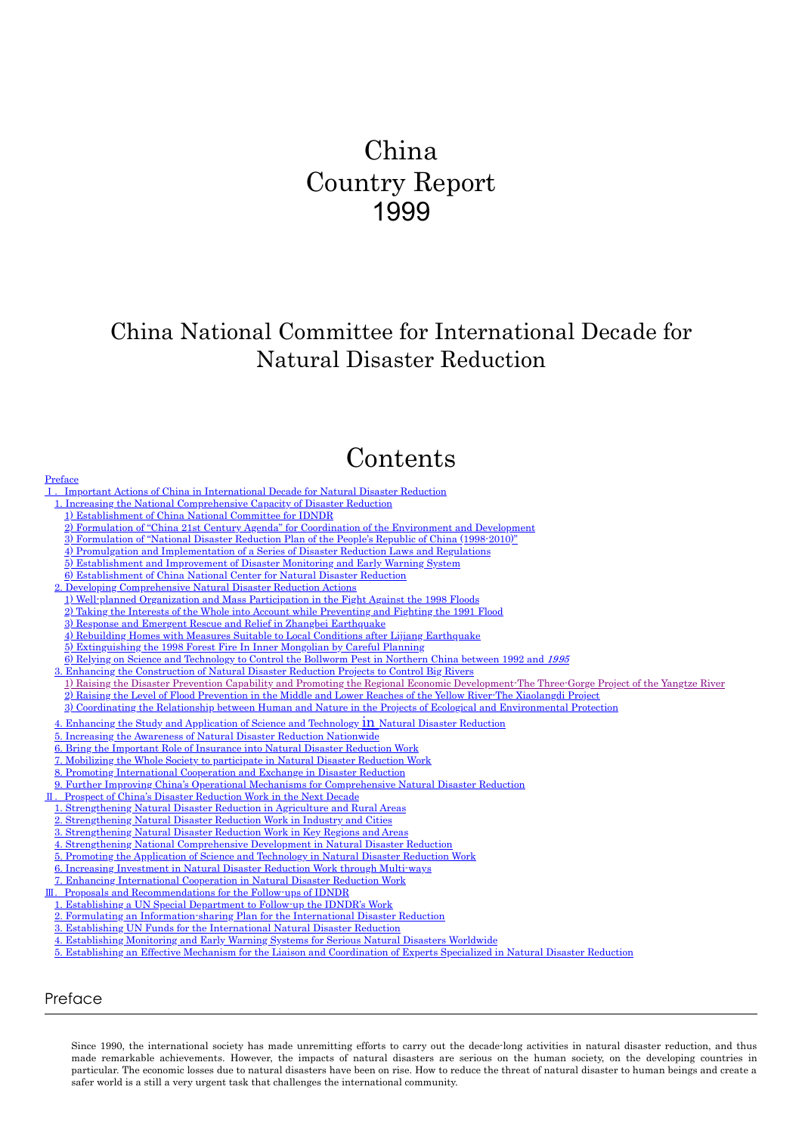# China Country Report 1999

# China National Committee for International Decade for Natural Disaster Reduction

# Contents

- Ⅰ.[Important Actions of China in International Decade for Natural Disaster Reduction](#page-1-0)
- [1. Increasing the National Comprehensive Capacity of Disaster Reduction](#page-1-1)
- [1\) Establishment of China National Committee for IDNDR](#page-1-2)
- [2\) Formulation of "China 21st Century Agenda" for Coordination of the Environment and Development](#page-1-3)
- 
- [3\) Formulation of "National Disaster Reduction Plan of the People's Republic of China \(1998-2010\)"](#page-1-4) [4\) Promulgation and Implementation of a Series of Disaster Reduction Laws and Regulations](#page-1-5)
- 
- [5\) Establishment and Improvement of Disaster Monitoring and Early Warning System](#page-2-0) [6\) Establishment of China National Center for Natural Disaster Reduction](#page-2-1)
- 
- [2. Developing Comprehensive Natural Disaster Reduction Actions](#page-2-2)
- [1\) Well-planned Organization and Mass Participation in the Fight Against the 1998 Floods](#page-2-3)
- [2\) Taking the Interests of the Whole into Account while Preventing and Fighting the 1991 Flood](#page-2-4)
- [3\) Response and Emergent Rescue and Relief in Zhangbei Earthquake](#page-2-5)
- [4\) Rebuilding Homes with Measures Suitable to Local Conditions after Lijiang Earthquake](#page-3-0)
- [5\) Extinguishing the 1998 Forest Fire In Inner Mongolian by Careful Planning](#page-3-1)
- [6\) Relying on Science and Technology to Control the Bollworm Pest in Northern China between 1992 and](#page-3-2) 1995
- [3. Enhancing the Construction of Natural Disaster Reduction Projects to Control Big Rivers](#page-3-3)
- [1\) Raising the Disaster Prevention Capability and Promoting the Regional Economic Development-The Three-Gorge Project of the Yangtze River](#page-3-4) [2\) Raising the Level of Flood Prevention in the Middle and Lower Reaches of the Yellow River-The Xiaolangdi Project](#page-3-5)
- [3\) Coordinating the Relationship between Human and Nature in the Projects of Ecological and Environmental Protection](#page-3-6)
- [4. Enhancing the Study and Application of Science and Technology](#page-4-0) *in Natural Disaster Reduction*
- [5. Increasing the Awareness of Natural Disaster Reduction Nationwide](#page-4-1)
- [6. Bring the Important Role of Insurance into Natural Disaster Reduction Work](#page-4-2)
- [7. Mobilizing the Whole Society to participate in Natural Disaster Reduction Work](#page-4-3)
- [8. Promoting International Cooperation and Exchange in Disaster Reduction](#page-5-0)
- [9. Further Improving China's Operational Mechanisms for Comprehensive Natural Disaster Reduction](#page-5-1)
- Ⅱ.[Prospect of China's Disaster Reduction Work in the Next Decade](#page-5-2)
- [1. Strengthening Natural Disaster Reduction in Agriculture and Rural Areas](#page-6-0)
- [2. Strengthening Natural Disaster Reduction Work in Industry and Cities](#page-6-1)
- [3. Strengthening Natural Disaster Reduction Work in Key Regions and Areas](#page-6-2)
- [4. Strengthening National Comprehensive Development in Natural Disaster Reduction](#page-6-3)
- 
- 5. [Promoting the Application of Science and Technology in Natural Disaster Reduction Work](#page-6-4)
- [6. Increasing Investment in Natural Disaster Reduction Work through Multi-ways](#page-6-5)
- [7. Enhancing International Cooperation in Natural Disaster Reduction Work](#page-6-6)
- Ⅲ.[Proposals and Recommendations for the Follow-ups of IDNDR](#page-7-0)
- [1. Establishing a UN Special Department to Follow-up the IDNDR's Work](#page-7-1)
- [2. Formulating an Information-sharing Plan for the International Disaster Reduction](#page-7-2)
- [3. Establishing UN Funds for the International Natural Disaster Reduction](#page-7-3)
- [4. Establishing Monitoring and Early Warning Systems for Serious Natural Disasters Worldwide](#page-7-4)
- 5. [Establishing an Effective Mechanism for the Liaison and Coordination of Experts Specialized in Natural Disaster Reduction](#page-7-5)

## <span id="page-0-0"></span>Preface

Since 1990, the international society has made unremitting efforts to carry out the decade-long activities in natural disaster reduction, and thus made remarkable achievements. However, the impacts of natural disasters are serious on the human society, on the developing countries in particular. The economic losses due to natural disasters have been on rise. How to reduce the threat of natural disaster to human beings and create a safer world is a still a very urgent task that challenges the international community.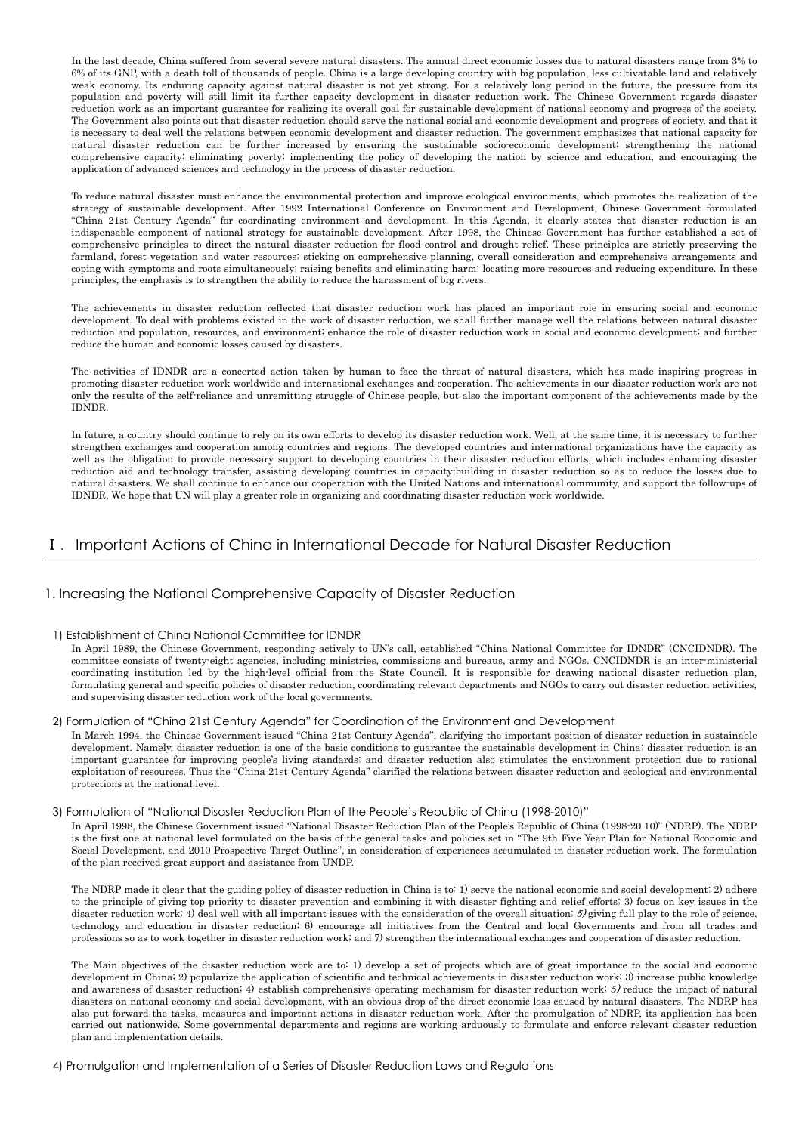In the last decade, China suffered from several severe natural disasters. The annual direct economic losses due to natural disasters range from 3% to 6% of its GNP, with a death toll of thousands of people. China is a large developing country with big population, less cultivatable land and relatively weak economy. Its enduring capacity against natural disaster is not yet strong. For a relatively long period in the future, the pressure from its population and poverty will still limit its further capacity development in disaster reduction work. The Chinese Government regards disaster reduction work as an important guarantee for realizing its overall goal for sustainable development of national economy and progress of the society. The Government also points out that disaster reduction should serve the national social and economic development and progress of society, and that it is necessary to deal well the relations between economic development and disaster reduction. The government emphasizes that national capacity for natural disaster reduction can be further increased by ensuring the sustainable socio-economic development; strengthening the national comprehensive capacity; eliminating poverty; implementing the policy of developing the nation by science and education, and encouraging the application of advanced sciences and technology in the process of disaster reduction.

To reduce natural disaster must enhance the environmental protection and improve ecological environments, which promotes the realization of the strategy of sustainable development. After 1992 International Conference on Environment and Development, Chinese Government formulated "China 21st Century Agenda" for coordinating environment and development. In this Agenda, it clearly states that disaster reduction is an indispensable component of national strategy for sustainable development. After 1998, the Chinese Government has further established a set of comprehensive principles to direct the natural disaster reduction for flood control and drought relief. These principles are strictly preserving the farmland, forest vegetation and water resources; sticking on comprehensive planning, overall consideration and comprehensive arrangements and coping with symptoms and roots simultaneously; raising benefits and eliminating harm; locating more resources and reducing expenditure. In these principles, the emphasis is to strengthen the ability to reduce the harassment of big rivers.

The achievements in disaster reduction reflected that disaster reduction work has placed an important role in ensuring social and economic development. To deal with problems existed in the work of disaster reduction, we shall further manage well the relations between natural disaster reduction and population, resources, and environment; enhance the role of disaster reduction work in social and economic development; and further reduce the human and economic losses caused by disasters.

The activities of IDNDR are a concerted action taken by human to face the threat of natural disasters, which has made inspiring progress in promoting disaster reduction work worldwide and international exchanges and cooperation. The achievements in our disaster reduction work are not only the results of the self-reliance and unremitting struggle of Chinese people, but also the important component of the achievements made by the IDNDR.

In future, a country should continue to rely on its own efforts to develop its disaster reduction work. Well, at the same time, it is necessary to further strengthen exchanges and cooperation among countries and regions. The developed countries and international organizations have the capacity as well as the obligation to provide necessary support to developing countries in their disaster reduction efforts, which includes enhancing disaster reduction aid and technology transfer, assisting developing countries in capacity-building in disaster reduction so as to reduce the losses due to natural disasters. We shall continue to enhance our cooperation with the United Nations and international community, and sup port the follow-ups of IDNDR. We hope that UN will play a greater role in organizing and coordinating disaster reduction work worldwide.

## <span id="page-1-0"></span>Ⅰ.Important Actions of China in International Decade for Natural Disaster Reduction

## <span id="page-1-1"></span>1. Increasing the National Comprehensive Capacity of Disaster Reduction

## <span id="page-1-2"></span>1) Establishment of China National Committee for IDNDR

In April 1989, the Chinese Government, responding actively to UN's call, established "China National Committee for IDNDR" (CNCIDNDR). The committee consists of twenty-eight agencies, including ministries, commissions and bureaus, army and NGOs. CNCIDNDR is an inter-ministerial coordinating institution led by the high-level official from the State Council. It is responsible for drawing national disaster reduction plan, formulating general and specific policies of disaster reduction, coordinating relevant departments and NGOs to carry out disaster reduction activities, and supervising disaster reduction work of the local governments.

## <span id="page-1-3"></span>2) Formulation of "China 21st Century Agenda" for Coordination of the Environment and Development

In March 1994, the Chinese Government issued "China 21st Century Agenda", clarifying the important position of disaster reduction in sustainable development. Namely, disaster reduction is one of the basic conditions to guarantee the sustainable development in China; disaster reduction is an important guarantee for improving people's living standards; and disaster reduction also stimulates the environment protection due to rational exploitation of resources. Thus the "China 21st Century Agenda" clarified the relations between disaster reduction and ecological and environmental protections at the national level.

### <span id="page-1-4"></span>3) Formulation of "National Disaster Reduction Plan of the People's Re public of China (1998-2010)"

In April 1998, the Chinese Government issued "National Disaster Reduction Plan of the People's Republic of China (1998-20 10)" (NDRP). The NDRP is the first one at national level formulated on the basis of the general tasks and policies set in "The 9th Five Year Plan for National Economic and Social Development, and 2010 Prospective Target Outline", in consideration of experiences accumulated in disaster reduction work. The formulation of the plan received great support and assistance from UNDP.

The NDRP made it clear that the guiding policy of disaster reduction in China is to: 1) serve the national economic and social development; 2) adhere to the principle of giving top priority to disaster prevention and combining it with disaster fighting and relief efforts; 3) focus on key issues in the disaster reduction work; 4) deal well with all important issues with the consideration of the overall situation;  $\delta$  giving full play to the role of science, technology and education in disaster reduction; 6) encourage all initiatives from the Central and local Governments and from all trades and professions so as to work together in disaster reduction work; and 7) strengthen the international exchanges and cooperation of disaster reduction.

The Main objectives of the disaster reduction work are to: 1) develop a set of projects which are of great importance to the social and economic development in China; 2) popularize the application of scientific and technical achievements in disaster reduction work; 3) increase public knowledge and awareness of disaster reduction; 4) establish comprehensive operating mechanism for disaster reduction work;  $5$ ) reduce the impact of natural disasters on national economy and social development, with an obvious drop of the direct economic loss caused by natural disasters. The NDRP has also put forward the tasks, measures and important actions in disaster reduction work. After the promulgation of NDRP, its application has been carried out nationwide. Some governmental departments and regions are working arduously to formulate and enforce relevant disaster reduction plan and implementation details.

## <span id="page-1-5"></span>4) Promulgation and Implementation of a Series of Disaster Reduction Laws and Regulations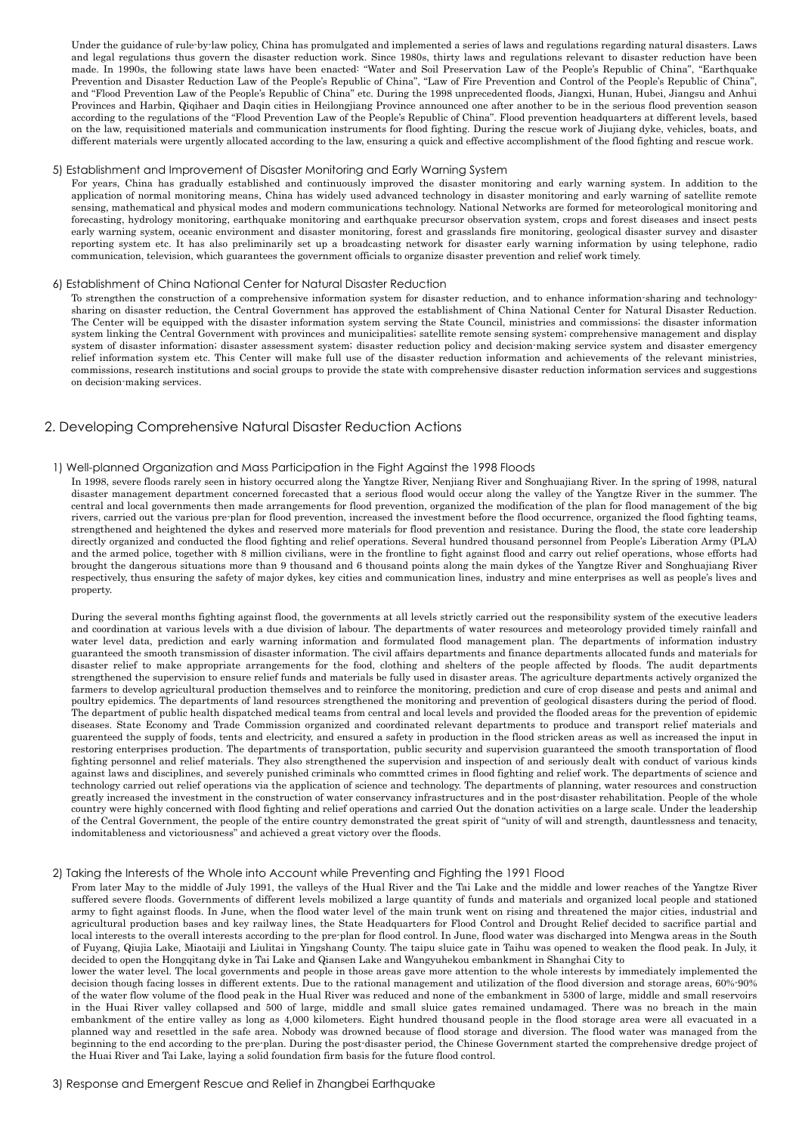Under the guidance of rule-by-law policy, China has promulgated and implemented a series of laws and regulations regarding natural disasters. Laws and legal regulations thus govern the disaster reduction work. Since 1980s, thirty laws and regulations relevant to disaster reduction have been made. In 1990s, the following state laws have been enacted: "Water and Soil Preservation Law of the People's Republic of China", "Earthquake Prevention and Disaster Reduction Law of the People's Republic of China", "Law of Fire Prevention and Control of the People's Republic of China", and "Flood Preven tion Law of the People's Republic of China" etc. During the 1998 unprecedented floods, Jiangxi, Hunan, Hubei, Jiangsu and Anhui Provinces and Harbin, Qiqihaer and Daqin cities in Heilongjiang Province announced one after another to be in the serious flood prevention season according to the regulations of the "Flood Prevention Law of the People's Republic of China". Flood prevention head quarters at different levels, based on the law, requisitioned materials and communication instruments for flood fighting. During the rescue work of Jiujiang dyke, vehicles, boats, and different materials were urgently allocated according to the law, ensuring a quick and effective accomplishment of the flood fighting and rescue work.

#### <span id="page-2-0"></span>5) Establishment and Improvement of Disaster Monitoring and Early Warning System

For years, China has gradually established and continuously improved the disaster monitoring and early warning system. In addition to the application of normal monitoring means, China has widely used advanced technology in disaster monitoring and early warning of satellite remote sensing, mathematical and physical modes and modern communications technology. National Networks are formed for meteorological monitoring and forecasting, hydrology monitoring, earthquake monitoring and earthquake precursor observation system, crops and forest diseases and insect pests early warning system, oceanic environment and disaster monitoring, forest and grasslands fire monitoring, geological disaster survey and disaster reporting system etc. It has also preliminarily set up a broadcasting network for disaster early warning information by using telephone, radio communication, television, which guarantees the government officials to organize disaster prevention and relief work timely.

#### <span id="page-2-1"></span>6) Establishment of China National Center for Natural Disaster Reduction

To strengthen the construction of a comprehensive information system for disaster reduction, and to enhance information-sharing and technologysharing on disaster reduction, the Central Government has approved the establishment of China National Center for Natural Disaster Reduction. The Center will be equipped with the disaster information system serving the State Council, ministries and commissions; the disaster information system linking the Central Government with provinces and municipalities; satellite remote sensing system; comprehensive management and display system of disaster information; disaster assessment system; disaster reduction policy and decision-making service system and disaster emergency relief information system etc. This Center will make full use of the disaster reduction information and achievements of the relevant ministries, commissions, research institutions and social groups to provide the state with comprehensive disaster reduction information services and suggestions on decision-making services.

## <span id="page-2-2"></span>2. Developing Comprehensive Natural Disaster Reduction Actions

#### <span id="page-2-3"></span>1) Well-planned Organization and Mass Participation in the Fight Against the 1998 Floods

In 1998, severe floods rarely seen in history occurred along the Yangtze River, Nenjiang River and Songhuajiang River. In the spring of 1998, natural disaster management department concerned forecasted that a serious flood would occur along the valley of the Yangtze River in the summer. The central and local governments then made arrangements for flood prevention, organized the modification of the plan for flood management of the big rivers, carried out the various pre-plan for flood prevention, increased the investment before the flood occurrence, organized the flood fighting teams, strengthened and heightened the dykes and reserved more materials for flood prevention and resistance. During the flood, the state core leadership directly organized and conducted the flood fighting and relief operations. Several hundred thousand personnel from People's Liberation Army (PLA) and the armed police, together with 8 million civilians, were in the frontline to fight against flood and carry out relief operations, whose efforts had brought the dangerous situations more than 9 thousand and 6 thousand points along the main dykes of the Yangtze River and Songhuajiang River respectively, thus ensuring the safety of major dykes, key cities and communication lines, industry and mine enterprises as well as people's lives and property.

During the several months fighting against flood, the governments at all levels strictly carried out the responsibility system of the executive leaders and coordination at various levels with a due division of labour. The departments of water resources and meteorology provided timely rainfall and water level data, prediction and early warning information and formulated flood management plan. The departments of information industry guaranteed the smooth transmission of disaster information. The civil affairs departments and finance departments allocated funds and materials for disaster relief to make appropriate arrangements for the food, clothing and shelters of the people affected by floods. The audit departments strengthened the supervision to ensure relief funds and materials be fully used in disaster areas. The agriculture departments actively organized the farmers to develop agricultural production themselves and to reinforce the monitoring, prediction and cure of crop disease and pests and animal and poultry epidemics. The departments of land resources strengthened the monitoring and prevention of geological disasters during the period of flood. The department of public health dispatched medical teams from central and local levels and provided the flooded areas for the prevention of epidemic diseases. State Economy and Trade Commission organized and coordinated relevant departments to produce and transport relief materials and guarenteed the supply of foods, tents and electricity, and ensured a safety in production in the flood stricken areas as well as increased the input in restoring enterprises production. The departments of transportation, public security and supervision guaranteed the smooth transportation of flood fighting personnel and relief materials. They also strengthened the supervision and inspection of and seriously dealt with conduct of various kinds against laws and disciplines, and severely punished criminals who commtted crimes in flood fighting and relief work. The departments of science and technology carried out relief operations via the application of science and technology. The departments of planning, water resources and construction greatly increased the investment in the construction of water conservancy infrastructures and in the post-disaster rehabilitation. People of the whole country were highly concerned with flood fighting and relief operations and carried Out the donation activities on a large scale. Under the leadership of the Central Government, the people of the entire country demonstrated the great spirit of "unity of will and strength, dauntless ness and tenacity, indomitableness and victoriousness" and achieved a great victory over the floods.

#### <span id="page-2-4"></span>2) Taking the Interests of the Whole into Account while Preventing and Fighting the 1991 Flood

From later May to the middle of July 1991, the valleys of the Hual River and the Tai Lake and the middle and lower reaches of the Yangtze River suffered severe floods. Governments of different levels mobilized a large quantity of funds and materials and organized local people and stationed army to fight against floods. In June, when the flood water level of the main trunk went on rising and threatened the major cities, industrial and agricultural production bases and key railway lines, the State Headquarters for Flood Control and Drought Relief decided to sacrifice partial and local interests to the overall interests according to the pre-plan for flood control. In June, flood water was discharged into Mengwa areas in the South of Fuyang, Qiujia Lake, Miaotaiji and Liulitai in Yingshang County. The taipu sluice gate in Taihu was opened to weaken the flood peak. In July, it decided to open the Hongqitang dyke in Tai Lake and Qiansen Lake and Wangyuhekou embankment in Shanghai City to

<span id="page-2-5"></span>lower the water level. The local governments and people in those areas gave more attention to the whole interests by immediately implemented the decision though facing losses in different extents. Due to the rational management and utilization of the flood diversion and storage areas, 60%-90% of the water flow volume of the flood peak in the Hual River was reduced and none of the embankment in 5300 of large, middle and small reservoirs in the Huai River valley collapsed and 500 of large, middle and small sluice gates remained undamaged. There was no breach in the main embankment of the entire valley as long as 4,000 kilometers. Eight hundred thousand people in the flood storage area were all evacuated in a planned way and resettled in the safe area. Nobody was drowned because of flood storage and diversion. The flood water was managed from the beginning to the end according to the pre-plan. During the post-disaster period, the Chinese Government started the comprehensive dredge project of the Huai River and Tai Lake, laying a solid foundation firm basis for the future flood control.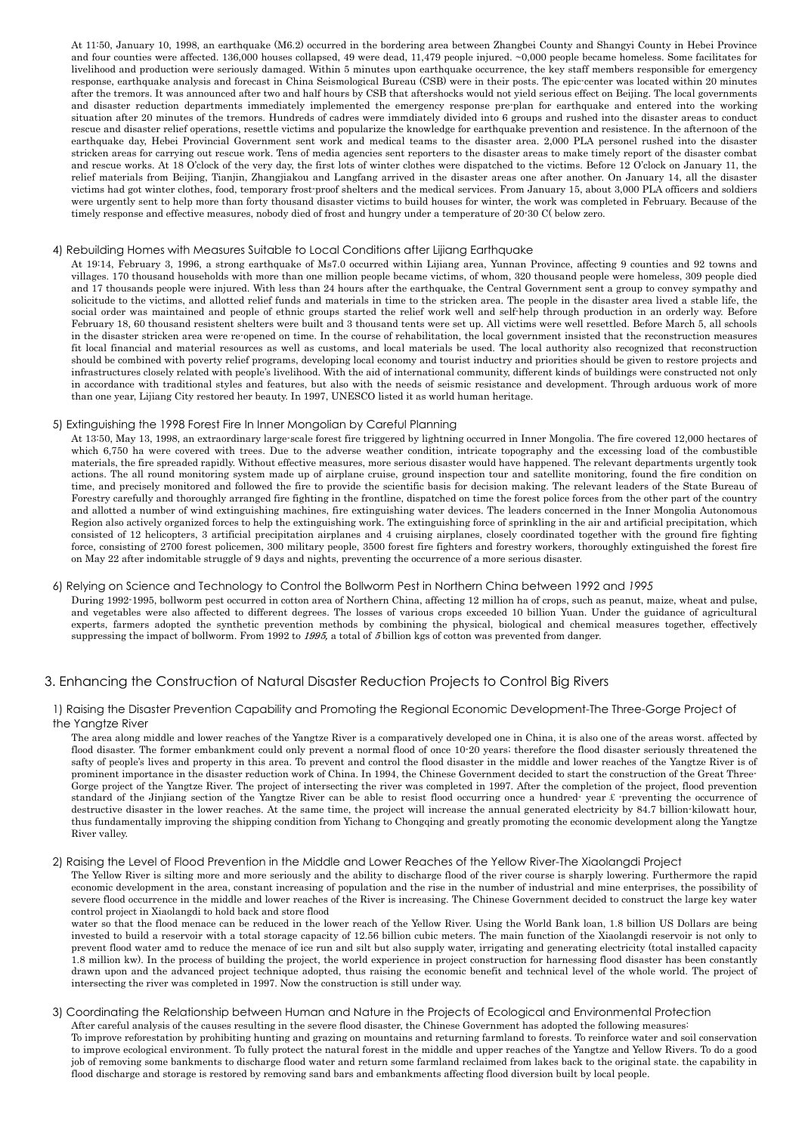At 11:50, January 10, 1998, an earthquake (M6.2) occurred in the bordering area between Zhangbei County and Shangyi County in Hebei Province and four counties were affected. 136,000 houses collapsed, 49 were dead, 11,479 people injured. ~0,000 people became homeless. Some facilitates for livelihood and production were seriously damaged. Within 5 minutes upon earthquake occurrence, the key staff members responsible for emergency response, earthquake analysis and forecast in China Seismological Bureau (CSB) were in their posts. The epic-center was located within 20 minutes after the tremors. It was announced after two and half hours by CSB that aftershocks would not yield serious effect on Beijing. The local governments and disaster reduction departments immediately implemented the emergency response pre-plan for earthquake and entered into the working situation after 20 minutes of the tremors. Hundreds of cadres were immdiately divided into 6 groups and rushed into the disaster areas to conduct rescue and disaster relief operations, resettle victims and popularize the knowledge for earthquake prevention and resistence. In the afternoon of the earthquake day, Hebei Provincial Government sent work and medical teams to the disaster area. 2,000 PLA personel rushed into the disaster stricken areas for carrying out rescue work. Tens of media agencies sent reporters to the disaster areas to make timely report of the disaster combat and rescue works. At 18 O'clock of the very day, the first lots of winter clothes were dispatched to the victims. Before 12 O'clock on January 11, the relief materials from Beijing, Tianjin, Zhangjiakou and Langfang arrived in the disaster areas one after another. On January 14, all the disaster victims had got winter clothes, food, temporary frost-proof shelters and the medical services. From January 15, about 3,000 PLA officers and soldiers were urgently sent to help more than forty thousand disaster victims to build houses for winter, the work was completed in February. Because of the timely response and effective measures, nobody died of frost and hungry under a temperature of 20-30 C( below zero.

#### <span id="page-3-0"></span>4) Rebuilding Homes with Measures Suitable to Local Conditions after Lijiang Earthquake

At 19:14, February 3, 1996, a strong earthquake of Ms7.0 occurred within Lijiang area, Yunnan Province, affecting 9 counties and 92 towns and villages. 170 thousand households with more than one million people became victims, of whom, 320 thousand people were homeless, 309 people died and 17 thousands people were injured. With less than 24 hours after the earthquake, the Central Government sent a group to convey sympathy and solicitude to the victims, and allotted relief funds and materials in time to the stricken area. The people in the disaster area lived a stable life, the social order was maintained and people of ethnic groups started the relief work well and self-help through production in an orderly way. Before February 18, 60 thousand resistent shelters were built and 3 thousand tents were set up. All victims were well resettled. Before March 5, all schools in the disaster stricken area were re-opened on time. In the course of rehabilitation, the local government insisted that the reconstruction measures fit local financial and material resources as well as customs, and local materials be used. The local authority also recognized that reconstruction should be combined with poverty relief programs, developing local economy and tourist inductry and priorities should be given to restore projects and infrastructures closely related with people's livelihood. With the aid of international community, different kinds of buildings were constructed not only in accordance with traditional styles and features, but also with the needs of seismic resistance and development. Through arduous work of more than one year, Lijiang City restored her beauty. In 1997, UNESCO listed it as world human heritage.

#### <span id="page-3-1"></span>5) Extinguishing the 1998 Forest Fire In Inner Mongolian by Careful Planning

At 13:50, May 13, 1998, an extraordinary large-scale forest fire triggered by lightning occurred in Inner Mongolia. The fire covered 12,000 hectares of which 6,750 ha were covered with trees. Due to the adverse weather condition, intricate topography and the excessing load of the combustible materials, the fire spreaded rapidly. Without effective measures, more serious disaster would have happened. The relevant departments urgently took actions. The all round monitoring system made up of airplane cruise, ground inspection tour and satellite monitoring, found the fire condition on time, and precisely monitored and followed the fire to provide the scientific basis for decision making. The relevant leaders of the State Bureau of Forestry carefully and thoroughly arranged fire fighting in the frontline, dispatched on time the forest police forces from the other part of the country and allotted a number of wind extinguishing machines, fire extinguishing water devices. The leaders concerned in the Inner Mongolia Autonomous Region also actively organized forces to help the extinguishing work. The extinguishing force of sprinkling in the air and artificial precipitation, which consisted of 12 helicopters, 3 artificial precipitation airplanes and 4 cruising airplanes, closely coordinated together with the ground fire fighting force, consisting of 2700 forest policemen, 300 military people, 3500 forest fire fighters and forestry workers, thoroughly extinguished the forest fire on May 22 after indomitable struggle of 9 days and nights, preventing the occurrence of a more serious disaster.

## <span id="page-3-2"></span>6) Relying on Science and Technology to Control the Bollworm Pest in Northern China between 1992 and *1995*

During 1992-1995, bollworm pest occurred in cotton area of Northern China, affecting 12 million ha of crops, such as peanut, maize, wheat and pulse, and vegetables were also affected to different degrees. The losses of various crops exceeded 10 billion Yuan. Under the guidance of agricultural experts, farmers adopted the synthetic prevention methods by combining the physical, biological and chemical measures together, effectively suppressing the impact of bollworm. From 1992 to  $1995$ , a total of  $5$  billion kgs of cotton was prevented from danger.

## <span id="page-3-3"></span>3. Enhancing the Construction of Natural Disaster Reduction Projects to Control Big Rivers

## <span id="page-3-4"></span>1) Raising the Disaster Prevention Capability and Promoting the Regional Economic Development-The Three-Gorge Project of the Yangtze River

The area along middle and lower reaches of the Yangtze River is a comparatively developed one in China, it is also one of the areas worst. affected by flood disaster. The former embankment could only prevent a normal flood of once 10-20 years; therefore the flood disaster seriously threatened the safty of people's lives and property in this area. To prevent and control the flood disaster in the middle and lower reaches of the Yangtze River is of prominent importance in the disaster reduction work of China. In 1994, the Chinese Government decided to start the construction of the Great Three-Gorge project of the Yangtze River. The project of intersecting the river was completed in 1997. After the completion of the project, flood prevention standard of the Jinjiang section of the Yangtze River can be able to resist flood occurring once a hundred- year  $\pounds$ -preventing the occurrence of destructive disaster in the lower reaches. At the same time, the project will increase the annual generated electricity by 84.7 billion-kilowatt hour, thus fundamentally improving the shipping condition from Yichang to Chongqing and greatly promoting the economic development along the Yangtze River valley.

## <span id="page-3-5"></span>2) Raising the Level of Flood Prevention in the Middle and Lower Reaches of the Yellow River-The Xiaolangdi Project

The Yellow River is silting more and more seriously and the ability to discharge flood of the river course is sharply lowering. Furthermore the rapid economic development in the area, constant increasing of population and the rise in the number of industrial and mine enterprises, the possibility of severe flood occurrence in the middle and lower reaches of the River is increasing. The Chinese Government decided to construct the large key water control project in Xiaolangdi to hold back and store flood

water so that the flood menace can be reduced in the lower reach of the Yellow River. Using the World Bank loan, 1.8 billion US Dollars are being invested to build a reservoir with a total storage capacity of 12.56 billion cubic meters. The main function of the Xiaolangdi reservoir is not only to prevent flood water amd to reduce the menace of ice run and silt but also supply water, irrigating and generating electricity (total installed capacity 1.8 million kw). In the process of building the project, the world experience in project construction for harnessing flood disaster has been constantly drawn upon and the advanced project technique adopted, thus raising the economic benefit and technical level of the whole world. The project of intersecting the river was completed in 1997. Now the construction is still under way.

#### <span id="page-3-6"></span>3) Coordinating the Relationship between Human and Nature in the Projects of Ecological and Environmental Protection After careful analysis of the causes resulting in the severe flood disaster, the Chinese Government has adopted the following measures: To improve reforestation by prohibiting hunting and grazing on mountains and returning farmland to forests. To reinforce water and soil conservation to improve ecological environment. To fully protect the natural forest in the middle and upper reaches of the Yangtze and Yellow Rivers. To do a good job of removing some bankments to discharge flood water and return some farmland reclaimed from lakes back to the original state. the capability in flood discharge and storage is restored by removing sand bars and embankments affecting flood diversion built by local people.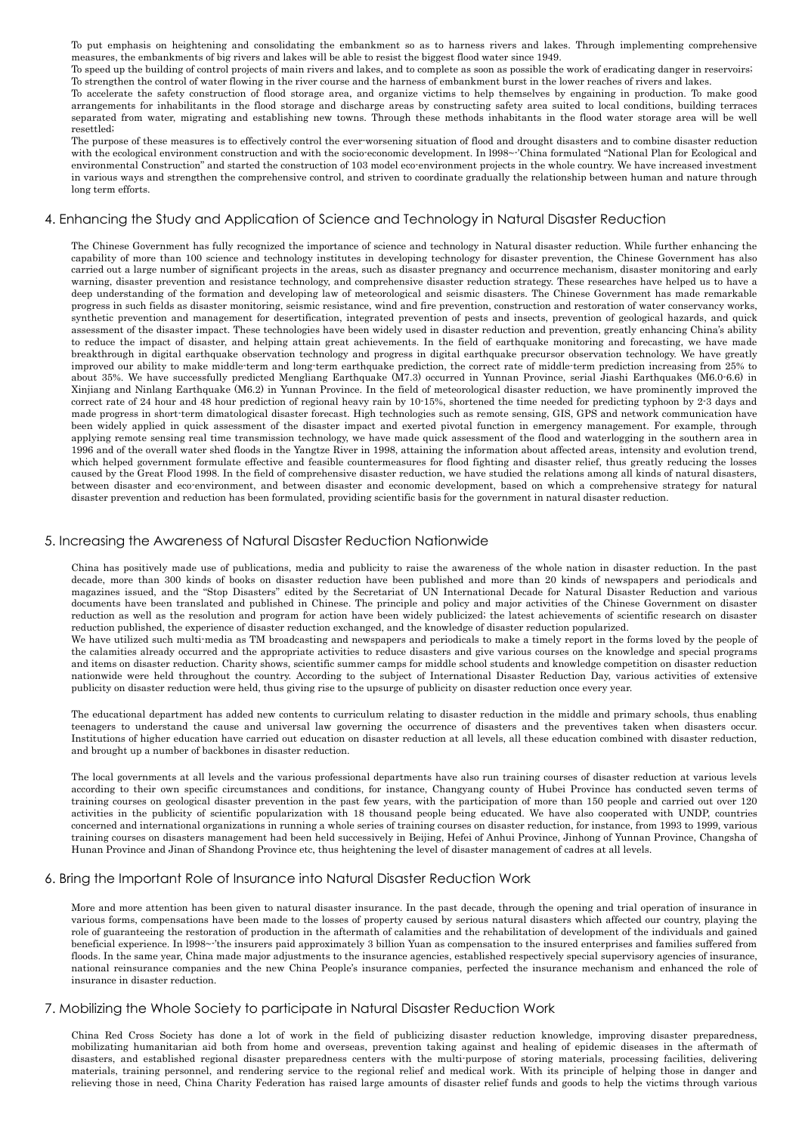To put emphasis on heightening and consolidating the embankment so as to harness rivers and lakes. Through implementing comprehensive measures, the embankments of big rivers and lakes will be able to resist the biggest flood water since 1949.

To speed up the building of control projects of main rivers and lakes, and to complete as soon as possible the work of eradicating danger in reservoirs; To strengthen the control of water flowing in the river course and the harness of embankment burst in the lower reaches of rivers and lakes.

To accelerate the safety construction of flood storage area, and organize victims to help themselves by engaining in production. To make good arrangements for inhabilitants in the flood storage and discharge areas by constructing safety area suited to local conditions, building terraces separated from water, migrating and establishing new towns. Through these methods inhabitants in the flood water storage area will be well resettled;

The purpose of these measures is to effectively control the ever-worsening situation of flood and drought disasters and to combine disaster reduction with the ecological environment construction and with the socio-economic development. In l998~-'China formulated "National Plan for Ecological and environmental Construction" and started the construction of 103 model eco-environment projects in the whole country. We have increased investment in various ways and strengthen the comprehensive control, and striven to coordinate gradually the relationship between human and nature through long term efforts.

## <span id="page-4-0"></span>4. Enhancing the Study and Application of Science and Technology in Natural Disaster Reduction

The Chinese Government has fully recognized the importance of science and technology in Natural disaster reduction. While further enhancing the capability of more than 100 science and technology institutes in developing technology for disaster prevention, the Chinese Government has also carried out a large number of significant projects in the areas, such as disaster pregnancy and occurrence mechanism, disaster monitoring and early warning, disaster prevention and resistance technology, and comprehensive disaster reduction strategy. These researches have helped us to have a deep under standing of the formation and developing law of meteorological and seismic disasters. The Chinese Government has made remarkable progress in such fields as disaster monitoring, seismic resistance, wind and fire prevention, construction and restoration of water conservancy works, synthetic prevention and management for desertification, integrated prevention of pests and insects, prevention of geological hazards, and quick assessment of the disaster impact. These technologies have been widely used in disaster reduction and prevention, greatly enhancing China's ability to reduce the impact of disaster, and helping attain great achievements. In the field of earthquake monitoring and forecasting, we have made breakthrough in digital earthquake observation technology and progress in digital earthquake precursor observation technology. We have greatly improved our ability to make middle-term and long-term earthquake prediction, the correct rate of middle-term prediction increasing from 25% to about 35%. We have successfully predicted Mengliang Earthquake (M7.3) occurred in Yunnan Province, serial Jiashi Earthquakes (M6.0-6.6) in Xinjiang and Ninlang Earthquake (M6.2) in Yunnan Province. In the field of meteorological disaster reduction, we have prominently improved the correct rate of 24 hour and 48 hour prediction of regional heavy rain by 10-15%, shortened the time needed for predicting typhoon by 2-3 days and made progress in short-term dimatological disaster forecast. High technologies such as remote sensing, GIS, GPS and network communication have been widely applied in quick assessment of the disaster impact and exerted pivotal function in emergency management. For example, through applying remote sensing real time transmission technology, we have made quick assessment of the flood and waterlogging in the southern area in 1996 and of the overall water shed floods in the Yangtze River in 1998, attaining the information about affected areas, intensity and evolution trend, which helped government formulate effective and feasible countermeasures for flood fighting and disaster relief, thus greatly reducing the losses caused by the Great Flood 1998. In the field of comprehensive disaster reduction, we have studied the relations among all kinds of natural disasters, between disaster and eco-environment, and between disaster and economic development, based on which a comprehensive strategy for natural disaster prevention and reduction has been formulated, providing scientific basis for the government in natural disaster reduction.

## <span id="page-4-1"></span>5. Increasing the Awareness of Natural Disaster Reduction Nationwide

China has positively made use of publications, media and publicity to raise the awareness of the whole nation in disaster reduction. In the past decade, more than 300 kinds of books on disaster reduction have been published and more than 20 kinds of newspapers and periodicals and magazines issued, and the "Stop Disasters" edited by the Secretariat of UN International Decade for Natural Disaster Reduction and various documents have been translated and published in Chinese. The principle and policy and major activities of the Chinese Government on disaster reduction as well as the resolution and program for action have been widely publicized; the latest achievements of scientific research on disaster reduction published, the experience of disaster reduction exchanged, and the knowledge of disaster reduction popularized.

We have utilized such multi-media as TM broadcasting and newspapers and periodicals to make a timely report in the forms loved by the people of the calamities already occurred and the appropriate activities to reduce disasters and give various courses on the knowledge and special programs and items on disaster reduction. Charity shows, scientific summer camps for middle school students and knowledge competition on disaster reduction nationwide were held throughout the country. According to the subject of International Disaster Reduction Day, various activities of extensive publicity on disaster reduction were held, thus giving rise to the upsurge of publicity on disaster reduction once every year.

The educational department has added new contents to curriculum relating to disaster reduction in the middle and primary schools, thus enabling teenagers to understand the cause and universal law governing the occurrence of disasters and the preventives taken when disasters occur. Institutions of higher education have carried out education on disaster reduction at all levels, all these education combined with disaster reduction, and brought up a number of backbones in disaster reduction.

The local governments at all levels and the various professional departments have also run training courses of disaster reduction at various levels according to their own specific circumstances and conditions, for instance, Changyang county of Hubei Province has conducted seven terms of training courses on geological disaster prevention in the past few years, with the participation of more than 150 people and carried out over 120 activities in the publicity of scientific popularization with 18 thousand people being educated. We have also cooperated with UNDP, countries concerned and international organizations in running a whole series of training courses on disaster reduction, for instance, from 1993 to 1999, various training courses on disasters management had been held successively in Beijing, Hefei of Anhui Province, Jinhong of Yunnan Province, Changsha of Hunan Province and Jinan of Shandong Province etc, thus heightening the level of disaster management of cadres at all levels.

## <span id="page-4-2"></span>6. Bring the Important Role of Insurance into Natural Disaster Reduction Work

More and more attention has been given to natural disaster insurance. In the past decade, through the opening and trial operation of insurance in various forms, compensations have been made to the losses of property caused by serious natural disasters which affected our country, playing the role of guaran teeing the restoration of production in the aftermath of calamities and the rehabilitation of development of the individuals and gained beneficial experience. In l998~-'the insurers paid approximately 3 billion Yuan as compensation to the insured enterprises and families suffered from floods. In the same year, China made major adjustments to the insurance agencies, established respectively special supervisory agencies of insurance, national reinsurance companies and the new China People's insurance companies, perfected the insurance mechanism and enhanced the role of insurance in disaster reduction.

## <span id="page-4-3"></span>7. Mobilizing the Whole Society to participate in Natural Disaster Reduction Work

China Red Cross Society has done a lot of work in the field of publicizing disaster reduction knowledge, improving disaster preparedness, mobilizating humanitarian aid both from home and overseas, prevention taking against and healing of epidemic diseases in the aftermath of disasters, and established regional disaster preparedness centers with the multi-purpose of storing materials, processing facilities, delivering materials, training personnel, and rendering service to the regional relief and medical work. With its principle of helping those in danger and relieving those in need, China Charity Federation has raised large amounts of disaster relief funds and goods to help the victims through various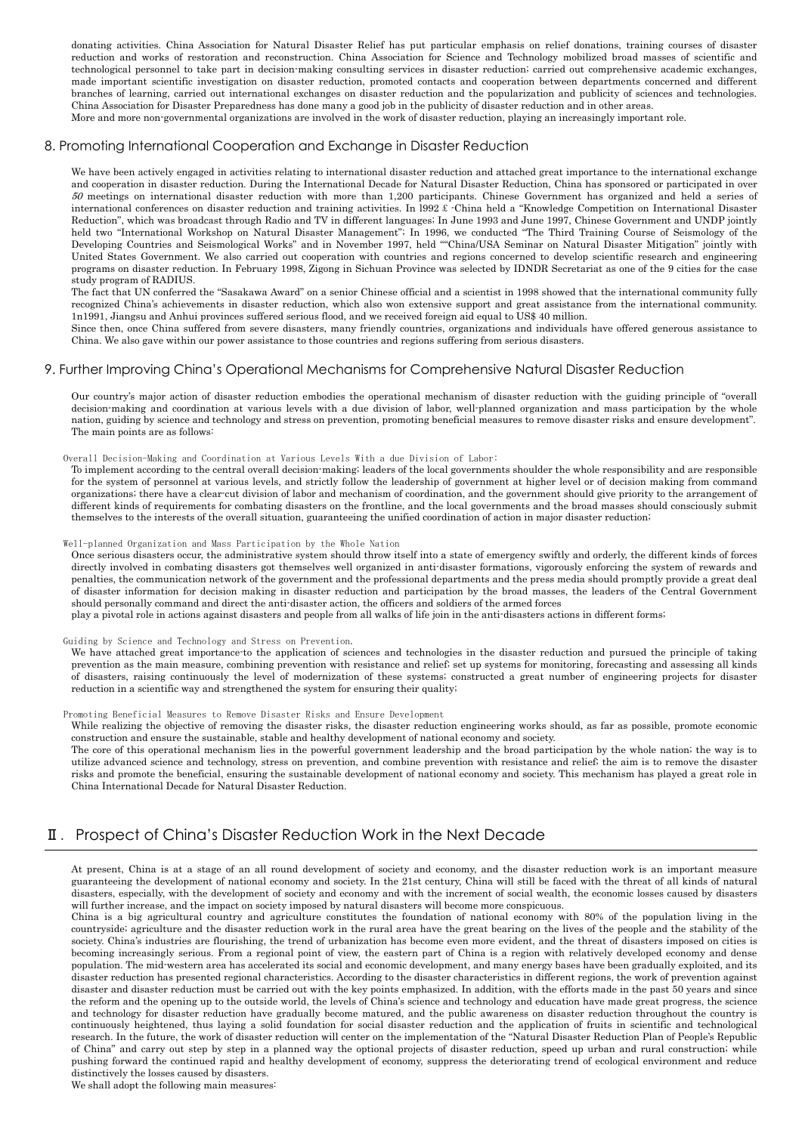donating activities. China Association for Natural Disaster Relief has put particular emphasis on relief donations, training courses of disaster reduction and works of restoration and reconstruction. China Association for Science and Technology mobilized broad masses of scientific and technological personnel to take part in decision-making consulting services in disaster reduction; carried out comprehensive academic exchanges, made important scientific investigation on disaster reduction, promoted contacts and cooperation between departments concerned and different branches of learning, carried out international exchanges on disaster reduction and the popularization and publicity of sciences and technologies. China Association for Disaster Preparedness has done many a good job in the publicity of disaster reduction and in other areas. More and more non-governmental organizations are involved in the work of disaster reduction, playing an increasingly important role.

## <span id="page-5-0"></span>8. Promoting International Cooperation and Exchange in Disaster Reduction

We have been actively engaged in activities relating to international disaster reduction and attached great importance to the international exchange and cooperation in disaster reduction. During the International Decade for Natural Disaster Reduction, China has sponsored or participated in over  $50$  meetings on international disaster reduction with more than 1,200 participants. Chinese Government has organized and held a series of international conferences on disaster reduction and training activities. In l992£-China held a "Knowledge Competition on International Disaster Reduction", which was broadcast through Radio and TV in different languages; In June 1993 and June 1997, Chinese Government and UNDP jointly held two "International Workshop on Natural Disaster Management"; In 1996, we conducted "The Third Training Course of Seismology of the Developing Countries and Seismological Works" and in November 1997, held ""China/USA Seminar on Natural Disaster Mitigation" jointly with United States Government. We also carried out cooperation with countries and regions concerned to develop scientific research and engineering programs on disaster reduction. In February 1998, Zigong in Sichuan Province was selected by IDNDR Secretariat as one of the 9 cities for the case study program of RADIUS.

The fact that UN conferred the "Sasakawa Award" on a senior Chinese official and a scientist in 1998 showed that the international community fully recognized China's achievements in disaster reduction, which also won extensive support and great assistance from the international community. 1n1991, Jiangsu and Anhui provinces suffered serious flood, and we received foreign aid equal to US\$ 40 million.

Since then, once China suffered from severe disasters, many friendly countries, organizations and individuals have offered generous assistance to China. We also gave within our power assistance to those countries and regions suffering from serious disasters.

## <span id="page-5-1"></span>9. Further Improving China's Operational Mechanisms for Comprehensive Natural Disaster Reduction

Our country's major action of disaster reduction embodies the operational mechanism of disaster reduction with the guiding principle of "overall decision-making and coordination at various levels with a due division of labor, well-planned organization and mass participation by the whole nation, guiding by science and technology and stress on prevention, promoting beneficial measures to remove disaster risks and ensure development". The main points are as follows:

#### Overall Decision-Making and Coordination at Various Levels With a due Division of Labor:

To implement according to the central overall decision-making; leaders of the local governments shoulder the whole responsibility and are responsible for the system of personnel at various levels, and strictly follow the leadership of government at higher level or of decision making from command organizations; there have a clear-cut division of labor and mechanism of coordination, and the govern ment should give priority to the arrangement of different kinds of requirements for combating disasters on the frontline, and the local governments and the broad masses should consciously submit them selves to the interests of the overall situation, guaranteeing the unified coordination of action in major disaster reduction;

#### Well-planned Organization and Mass Participation by the Whole Nation

Once serious disasters occur, the administrative system should throw itself into a state of emergency swiftly and orderly, the different kinds of forces directly involved in combating disasters got them selves well organized in anti-disaster formations, vigorously enforcing the system of rewards and penalties, the communication network of the government and the professional departments and the press media should promptly provide a great deal of disaster information for decision making in disaster reduction and participation by the broad masses, the leaders of the Central Government should personally command and direct the anti-disaster action, the officers and soldiers of the armed forces

play a pivotal role in actions against disasters and people from all walks of life join in the anti-disasters actions in different forms;

#### Guiding by Science and Technology and Stress on Prevention.

We have attached great importance-to the application of sciences and technologies in the disaster reduction and pursued the principle of taking prevention as the main measure, combining prevention with resistance and relief; set up systems for monitoring, forecasting and assessing all kinds of disas ters, raising continuously the level of modernization of these systems; constructed a great number of engineering projects for disaster reduction in a scientific way and strengthened the system for ensuring their quality;

## Promoting Beneficial Measures to Remove Disaster Risks and Ensure Development

While realizing the objective of removing the disaster risks, the disaster reduction engineering works should, as far as possible, promote economic construction and ensure the sustainable, stable and healthy development of national economy and society.

The core of this operational mechanism lies in the powerful government leadership and the broad participation by the whole nation; the way is to utilize advanced science and technology, stress on prevention, and combine prevention with resistance and relief; the aim is to remove the disaster risks and promote the beneficial, ensuring the sustainable development of national economy and society. This mechanism has played a great role in China International Decade for Natural Disaster Reduction.

## <span id="page-5-2"></span>Ⅱ.Prospect of China's Disaster Reduction Work in the Next Decade

At present, China is at a stage of an all round development of society and economy, and the disaster reduction work is an important measure guaranteeing the development of national economy and society. In the 21st century, China will still be faced with the threat of all kinds of natural disasters, especially, with the development of society and economy and with the increment of social wealth, the economic losses caused by disasters will further increase, and the impact on society imposed by natural disasters will become more conspicuous.

China is a big agricultural country and agriculture constitutes the foundation of national economy with 80% of the population living in the countryside; agriculture and the disaster reduction work in the rural area have the great bearing on the lives of the people and the stability of the society. China's industries are flourishing, the trend of urbanization has become even more evident, and the threat of disasters imposed on cities is becoming increasingly serious. From a regional point of view, the eastern part of China is a region with relatively developed economy and dense population. The mid-western area has accelerated its social and economic development, and many energy bases have been gradually exploited, and its disaster reduction has presented regional characteristics. According to the disaster characteristics in different regions, the work of prevention against disaster and disaster reduction must be carried out with the key points emphasized. In addition, with the efforts made in the past 50 years and since the reform and the opening up to the outside world, the levels of China's science and technology and education have made great progress, the science and technology for disaster reduction have gradually become matured, and the public awareness on disaster reduction throughout the country is continuously heightened, thus laying a solid foundation for social disaster reduction and the application of fruits in scientific and technological research. In the future, the work of disaster reduction will center on the implementation of the "Natural Disaster Reduction Plan of People's Republic of China" and carry out step by step in a planned way the optional projects of disaster reduction, speed up urban and rural construction; while pushing forward the continued rapid and healthy development of economy, suppress the deteriorating trend of ecological environment and reduce distinctively the losses caused by disasters.

We shall adopt the following main measures: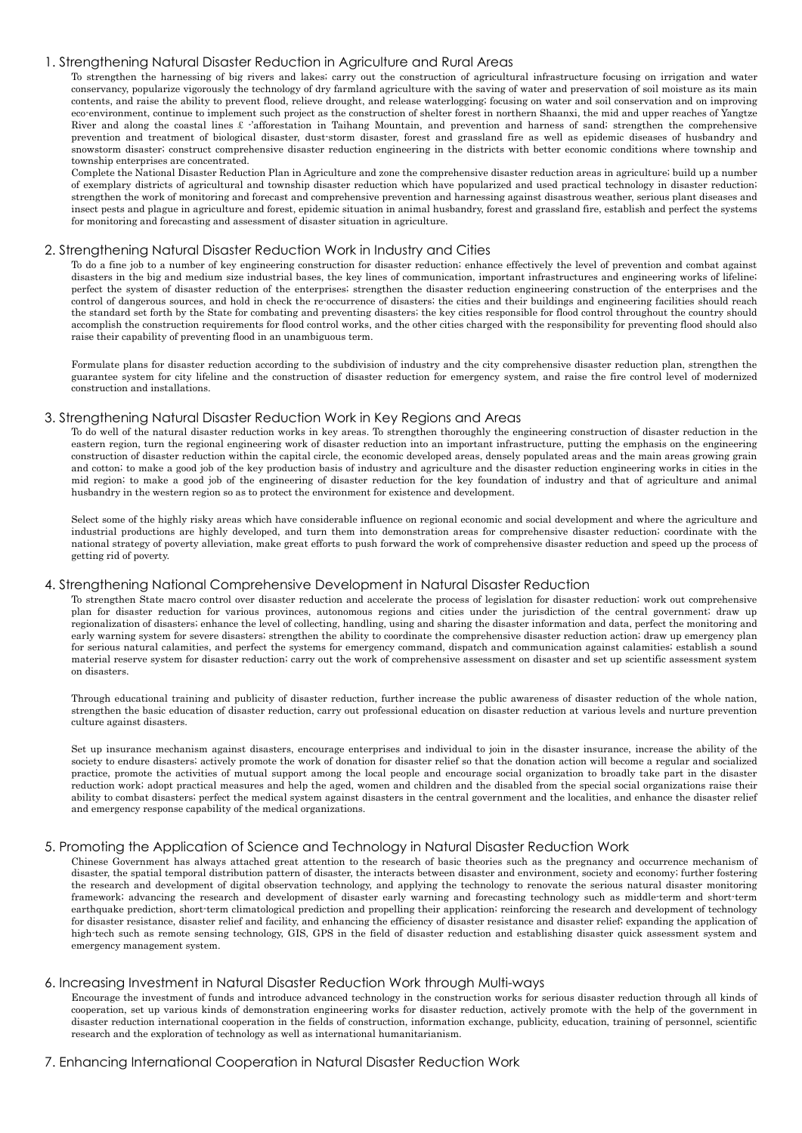## <span id="page-6-0"></span>1. Strengthening Natural Disaster Reduction in Agriculture and Rural Areas

To strengthen the harnessing of big rivers and lakes; carry out the construction of agricultural infrastructure focusing on irrigation and water conservancy, popularize vigorously the technology of dry farmland agriculture with the saving of water and preservation of soil moisture as its main contents, and raise the ability to prevent flood, relieve drought, and release waterlogging; focusing on water and soil conservation and on improving eco-environment, continue to implement such project as the construction of shelter forest in northern Shaanxi, the mid and upper reaches of Yangtze River and along the coastal lines £ -'afforestation in Taihang Mountain, and prevention and harness of sand; strengthen the comprehensive prevention and treatment of biological disaster, dust-storm disaster, forest and grassland fire as well as epidemic diseases of husbandry and snowstorm disaster; construct comprehensive disaster reduction engineering in the districts with better economic conditions where township and township enterprises are concentrated.

Complete the National Disaster Reduction Plan in Agriculture and zone the comprehensive disaster reduction areas in agriculture; build up a number of exemplary districts of agricultural and township disaster reduction which have popularized and used practical technology in disaster reduction; strengthen the work of monitoring and forecast and comprehensive prevention and harnessing against disastrous weather, serious plant diseases and insect pests and plague in agriculture and forest, epidemic situation in animal husbandry, forest and grassland fire, establish and perfect the systems for monitoring and forecasting and assessment of disaster situation in agriculture.

## <span id="page-6-1"></span>2. Strengthening Natural Disaster Reduction Work in Industry and Cities

To do a fine job to a number of key engineering construction for disaster reduction; enhance effectively the level of prevention and combat against disasters in the big and medium size industrial bases, the key lines of communication, important infrastructures and engineering works of lifeline; perfect the system of disaster reduction of the enterprises; strengthen the disaster reduction engineering construction of the enterprises and the control of dangerous sources, and hold in check the re-occurrence of disasters; the cities and their buildings and engineering facilities should reach the standard set forth by the State for combating and preventing disasters; the key cities responsible for flood control throughout the country should accomplish the construction requirements for flood control works, and the other cities charged with the responsibility for preventing flood should also raise their capability of preventing flood in an unambiguous term.

Formulate plans for disaster reduction according to the subdivision of industry and the city comprehensive disaster reduction plan, strengthen the guarantee system for city lifeline and the construction of disaster reduction for emergency system, and raise the fire control level of modernized construction and installations.

#### <span id="page-6-2"></span>3. Strengthening Natural Disaster Reduction Work in Key Regions and Areas

To do well of the natural disaster reduction works in key areas. To strengthen thoroughly the engineering construction of disaster reduction in the eastern region, turn the regional engineering work of disaster reduction into an important infrastructure, putting the emphasis on the engineering construction of disaster reduction within the capital circle, the economic developed areas, densely populated areas and the main areas growing grain and cotton; to make a good job of the key production basis of industry and agriculture and the disaster reduction engineering works in cities in the mid region; to make a good job of the engineering of disaster reduction for the key foundation of industry and that of agriculture and animal husbandry in the western region so as to protect the environment for existence and development.

Select some of the highly risky areas which have considerable influence on regional economic and social development and where the agriculture and industrial productions are highly developed, and turn them into demonstration areas for comprehensive disaster reduction; coordinate with the national strategy of poverty alleviation, make great efforts to push forward the work of comprehensive disaster reduction and speed up the process of getting rid of poverty.

### <span id="page-6-3"></span>4. Strengthening National Comprehensive Development in Natural Disaster Reduction

To strengthen State macro control over disaster reduction and accelerate the process of legislation for disaster reduction; work out comprehensive plan for disaster reduction for various provinces, autonomous regions and cities under the jurisdiction of the central government; draw up regionalization of disasters; enhance the level of collecting, handling, using and sharing the disaster information and data, perfect the monitoring and early warning system for severe disasters; strengthen the ability to coordinate the comprehensive disaster reduction action; draw up emergency plan for serious natural calamities, and perfect the systems for emergency command, dispatch and communication against calamities; establish a sound material reserve system for disaster reduction; carry out the work of comprehensive assessment on disaster and set up scientific assessment system on disasters.

Through educational training and publicity of disaster reduction, further increase the public awareness of disaster reduction of the whole nation, strengthen the basic education of disaster reduction, carry out professional education on disaster reduction at various levels and nurture prevention culture against disasters.

Set up insurance mechanism against disasters, encourage enterprises and individual to join in the disaster insurance, increase the ability of the society to endure disasters; actively promote the work of donation for disaster relief so that the donation action will become a regular and socialized practice, promote the activities of mutual support among the local people and encourage social organization to broadly take part in the disaster reduction work; adopt practical measures and help the aged, women and children and the disabled from the special social organizations raise their ability to combat disasters; perfect the medical system against disasters in the central government and the localities, and enhance the disaster relief and emergency response capability of the medical organizations.

### <span id="page-6-4"></span>5. Promoting the Application of Science and Technology in Natural Disaster Reduction Work

Chinese Government has always attached great attention to the research of basic theories such as the pregnancy and occurrence mechanism of disaster, the spatial temporal distribution pattern of disaster, the interacts between disaster and environment, society and economy; further fostering the research and development of digital observation technology, and applying the technology to renovate the serious natural disaster monitoring framework; advancing the research and development of disaster early warning and forecasting technology such as middle-term and short-term earthquake prediction, short-term climatological prediction and propelling their application; reinforcing the research and development of technology for disaster resistance, disaster relief and facility, and enhancing the efficiency of disaster resistance and disaster relief; expanding the application of high-tech such as remote sensing technology, GIS, GPS in the field of disaster reduction and establishing disaster quick assessment system and emergency management system.

## <span id="page-6-5"></span>6. Increasing Investment in Natural Disaster Reduction Work through Multi-ways

Encourage the investment of funds and introduce advanced technology in the construction works for serious disaster reduction through all kinds of cooperation, set up various kinds of demonstration engineering works for disaster reduction, actively promote with the help of the government in disaster reduction international cooperation in the fields of construction, information exchange, publicity, education, training of personnel, scientific research and the exploration of technology as well as international humanitarianism.

### <span id="page-6-6"></span>7. Enhancing International Cooperation in Natural Disaster Reduction Work